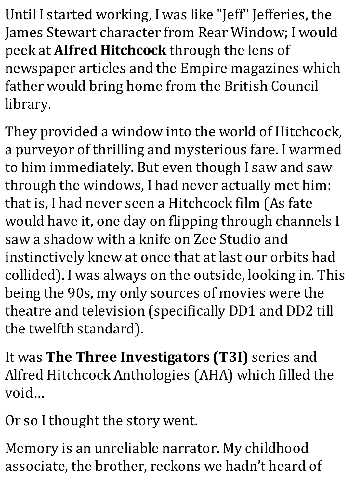Until I started working, I was like "Jeff" Jefferies, the James Stewart character from Rear Window; I would peek at **Alfred Hitchcock** through the lens of newspaper articles and the Empire magazines which father would bring home from the British Council library.

They provided a window into the world of Hitchcock, a purveyor of thrilling and mysterious fare. I warmed to him immediately. But even though I saw and saw through the windows, I had never actually met him: that is, I had never seen a Hitchcock film (As fate would have it, one day on flipping through channels I saw a shadow with a knife on Zee Studio and instinctively knew at once that at last our orbits had collided). I was always on the outside, looking in. This being the 90s, my only sources of movies were the theatre and television (specifically DD1 and DD2 till the twelfth standard).

It was **The Three Investigators (T3I)** series and Alfred Hitchcock Anthologies (AHA) which filled the void…

Or so I thought the story went.

Memory is an unreliable narrator. My childhood associate, the brother, reckons we hadn't heard of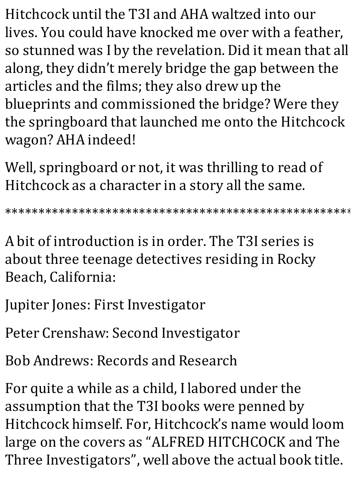Hitchcock until the T3I and AHA waltzed into our lives. You could have knocked me over with a feather, so stunned was I by the revelation. Did it mean that all along, they didn't merely bridge the gap between the articles and the films; they also drew up the blueprints and commissioned the bridge? Were they the springboard that launched me onto the Hitchcock wagon? AHA indeed!

Well, springboard or not, it was thrilling to read of Hitchcock as a character in a story all the same.

\*\*\*\*\*\*\*\*\*\*\*\*\*\*\*\*\*\*\*\*\*\*\*\*\*\*\*\*\*\*\*\*\*\*\*\*\*\*\*\*\*\*\*\*\*\*\*\*\*\*\*\*\*\*\*\*\*\*\*\*\*\*\*\*\*\*\*\*\*\*\*\*\*\*\*\*\*\*\*\*\*\*\*\*\*\*\*\*\*\*\*\*\*\*\*\*\*\*\*

A bit of introduction is in order. The T3I series is about three teenage detectives residing in Rocky Beach, California:

- Jupiter Jones: First Investigator
- Peter Crenshaw: Second Investigator
- Bob Andrews: Records and Research

For quite a while as a child, I labored under the assumption that the T3I books were penned by Hitchcock himself. For, Hitchcock's name would loom large on the covers as "ALFRED HITCHCOCK and The Three Investigators", well above the actual book title.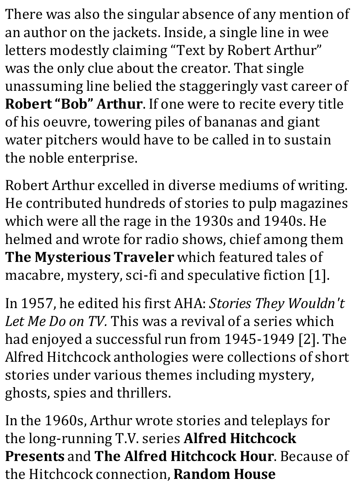There was also the singular absence of any mention of an author on the jackets. Inside, a single line in wee letters modestly claiming "Text by Robert Arthur" was the only clue about the creator. That single unassuming line belied the staggeringly vast career of **Robert"Bob" Arthur**. If one were to recite every title of his oeuvre, towering piles of bananas and giant water pitchers would have to be called in to sustain the noble enterprise.

Robert Arthur excelled in diverse mediums of writing. He contributed hundreds of stories to pulp magazines which were all the rage in the 1930s and 1940s. He helmed and wrote for radio shows, chief among them **The Mysterious Traveler** which featured tales of macabre, mystery, sci-fi and speculative fiction [1].

In 1957, he edited his first AHA: *Stories They Wouldn't Let Me Do on TV.* This was a revival of a series which had enjoyed a successful run from 1945-1949 [2]. The Alfred Hitchcock anthologies were collections of short stories under various themes including mystery, ghosts, spies and thrillers.

In the 1960s, Arthur wrote stories and teleplays for the long-running T.V. series **Alfred Hitchcock Presents** and **The Alfred Hitchcock Hour**. Because of the Hitchcock connection, **Random House**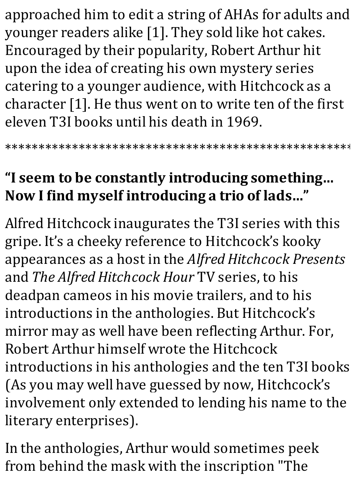approached him to edit a string of AHAs for adults and younger readers alike [1]. They sold like hot cakes. Encouraged by their popularity, Robert Arthur hit upon the idea of creating his own mystery series catering to a younger audience, with Hitchcock as a character [1]. He thus went on to write ten of the first eleven T3I books until his death in 1969.

\*\*\*\*\*\*\*\*\*\*\*\*\*\*\*\*\*\*\*\*\*\*\*\*\*\*\*\*\*\*\*\*\*\*\*\*\*\*\*\*\*\*\*\*\*\*\*\*\*\*\*\*\*\*\*\*\*\*\*\*\*\*\*\*\*\*\*\*\*\*\*\*\*\*\*\*\*\*\*\*\*\*\*\*\*

## **"I seem to be constantly introducing something… Now I find myself introducing a trio of lads…"**

Alfred Hitchcock inaugurates the T3I series with this gripe. It's a cheeky reference to Hitchcock's kooky appearances as a host in the *Alfred Hitchcock Presents* and *The Alfred Hitchcock Hour* TV series, to his deadpan cameos in his movie trailers, and to his introductions in the anthologies. But Hitchcock's mirror may as well have been reflecting Arthur. For, Robert Arthur himself wrote the Hitchcock introductions in his anthologies and the ten T3I books (As you may well have guessed by now, Hitchcock's involvement only extended to lending his name to the literary enterprises).

In the anthologies, Arthur would sometimes peek from behind the mask with the inscription "The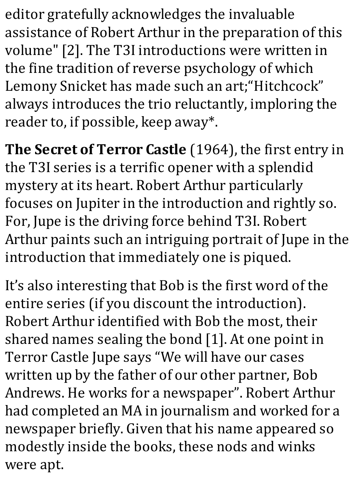editor gratefully acknowledges the invaluable assistance of Robert Arthur in the preparation of this volume" [2]. The T3I introductions were written in the fine tradition of reverse psychology of which Lemony Snicket has made such an art;"Hitchcock" always introduces the trio reluctantly, imploring the reader to, if possible, keep away\*.

**The Secret of Terror Castle** (1964), the first entry in the T3I series is a terrific opener with a splendid mystery at its heart. Robert Arthur particularly focuses on Jupiter in the introduction and rightly so. For, Jupe is the driving force behind T3I. Robert Arthur paints such an intriguing portrait of Jupe in the introduction that immediately one is piqued.

It's also interesting that Bob is the first word of the entire series (if you discount the introduction). Robert Arthur identified with Bob the most, their shared names sealing the bond [1]. At one point in Terror Castle Jupe says "We will have our cases written up by the father of our other partner, Bob Andrews. He works for a newspaper". Robert Arthur had completed an MA in journalism and worked for a newspaper briefly. Given that his name appeared so modestly inside the books, these nods and winks were apt.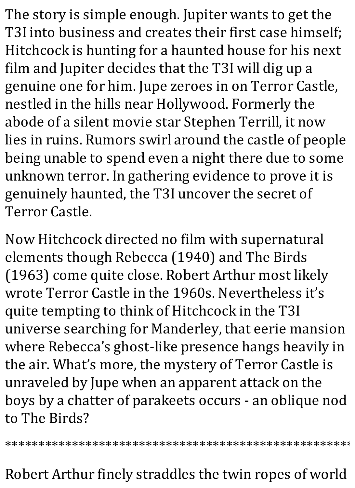The story is simple enough. Jupiter wants to get the T3I into business and creates their first case himself; Hitchcock is hunting for a haunted house for his next film and Jupiter decides that the T3I will dig up a genuine one for him. Jupe zeroes in on Terror Castle, nestled in the hills near Hollywood. Formerly the abode of a silent movie star Stephen Terrill, it now lies in ruins. Rumors swirl around the castle of people being unable to spend even a night there due to some unknown terror. In gathering evidence to prove it is genuinely haunted, the T3I uncover the secret of Terror Castle.

Now Hitchcock directed no film with supernatural elements though Rebecca (1940) and The Birds (1963) come quite close. Robert Arthur most likely wrote Terror Castle in the 1960s. Nevertheless it's quite tempting to think of Hitchcock in the T3I universe searching for Manderley, that eerie mansion where Rebecca's ghost-like presence hangs heavily in the air. What's more, the mystery of Terror Castle is unraveled by Jupe when an apparent attack on the boys by a chatter of parakeets occurs - an oblique nod to The Birds?

\*\*\*\*\*\*\*\*\*\*\*\*\*\*\*\*\*\*\*\*\*\*\*\*\*\*\*\*\*\*\*\*\*\*\*\*\*\*\*\*\*\*\*\*\*\*\*\*\*\*\*\*\*\*\*\*\*\*\*\*\*\*\*\*\*\*\*\*\*\*\*\*\*\*\*\*\*\*\*\*\*\*\*\*\*\*\*\*\*\*\*\*\*\*\*

Robert Arthur finely straddles the twin ropes of world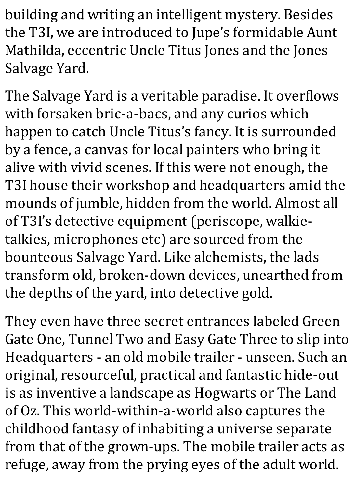building and writing an intelligent mystery. Besides the T3I, we are introduced to Jupe's formidable Aunt Mathilda, eccentric Uncle Titus Jones and the Jones Salvage Yard.

The Salvage Yard is a veritable paradise. It overflows with forsaken bric-a-bacs, and any curios which happen to catch Uncle Titus's fancy. It is surrounded by a fence, a canvas for local painters who bring it alive with vivid scenes. If this were not enough, the T3I house their workshop and headquarters amid the mounds of jumble, hidden from the world. Almost all of T3I's detective equipment (periscope, walkietalkies, microphones etc) are sourced from the bounteous Salvage Yard. Like alchemists, the lads transform old, broken-down devices, unearthed from the depths of the yard, into detective gold.

They even have three secret entrances labeled Green Gate One, Tunnel Two and Easy Gate Three to slip into Headquarters - an old mobile trailer - unseen. Such an original, resourceful, practical and fantastic hide-out is as inventive a landscape as Hogwarts or The Land of Oz. This world-within-a-world also captures the childhood fantasy of inhabiting a universe separate from that of the grown-ups. The mobile trailer acts as refuge, away from the prying eyes of the adult world.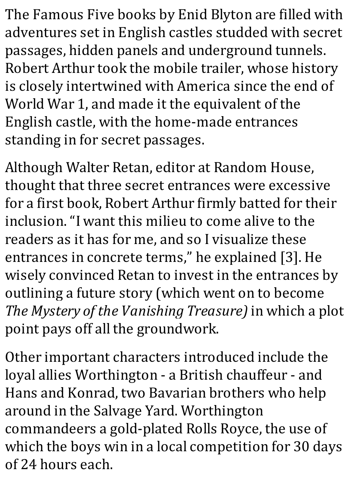The Famous Five books by Enid Blyton are filled with adventures set in English castles studded with secret passages, hidden panels and underground tunnels. Robert Arthur took the mobile trailer, whose history is closely intertwined with America since the end of World War 1, and made it the equivalent of the English castle, with the home-made entrances standing in for secret passages.

Although Walter Retan, editor at Random House, thought that three secret entrances were excessive for a first book, Robert Arthur firmly batted for their inclusion. "I want this milieu to come alive to the readers as it has for me, and so I visualize these entrances in concrete terms," he explained [3]. He wisely convinced Retan to invest in the entrances by outlining a future story (which went on to become *The Mystery of the Vanishing Treasure)*in which a plot point pays off all the groundwork.

Other important characters introduced include the loyal allies Worthington - a British chauffeur - and Hans and Konrad, two Bavarian brothers who help around in the Salvage Yard. Worthington commandeers a gold-plated Rolls Royce, the use of which the boys win in a local competition for 30 days of 24 hours each.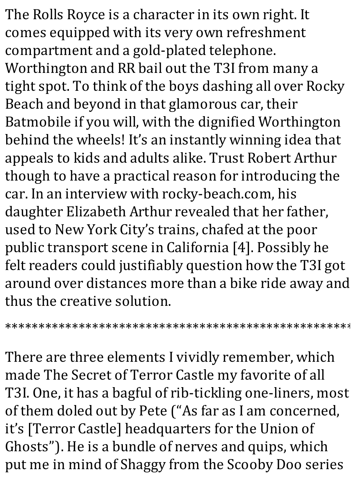The Rolls Royce is a character in its own right. It comes equipped with its very own refreshment compartment and a gold-plated telephone. Worthington and RR bail out the T3I from many a tight spot. To think of the boys dashing all over Rocky Beach and beyond in that glamorous car, their Batmobile if you will, with the dignified Worthington behind the wheels! It's an instantly winning idea that appeals to kids and adults alike. Trust Robert Arthur though to have a practical reason for introducing the car. In an interview with rocky-beach.com, his daughter Elizabeth Arthur revealed that her father, used to New York City's trains, chafed at the poor public transport scene in California [4]. Possibly he felt readers could justifiably question how the T3I got around over distances more than a bike ride away and thus the creative solution.

\*\*\*\*\*\*\*\*\*\*\*\*\*\*\*\*\*\*\*\*\*\*\*\*\*\*\*\*\*\*\*\*\*\*\*\*\*\*\*\*\*\*\*\*\*\*\*\*\*\*\*\*\*\*\*\*\*\*\*\*\*\*\*\*\*\*\*\*\*\*\*\*\*\*\*\*\*\*\*\*\*\*\*\*\*\*\*\*\*\*\*\*\*\*\*\*\*\*\*

There are three elements I vividly remember, which made The Secret of Terror Castle my favorite of all T3I. One, it has a bagful of rib-tickling one-liners, most of them doled out by Pete ("As far as I am concerned, it's [Terror Castle] headquarters for the Union of Ghosts"). He is a bundle of nerves and quips, which put me in mind of Shaggy from the Scooby Doo series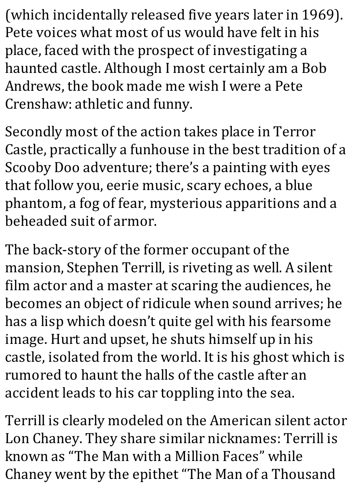(which incidentally released five years later in 1969). Pete voices what most of us would have felt in his place, faced with the prospect of investigating a haunted castle. Although I most certainly am a Bob Andrews, the book made me wish I were a Pete Crenshaw: athletic and funny.

Secondly most of the action takes place in Terror Castle, practically a funhouse in the best tradition of a Scooby Doo adventure; there's a painting with eyes that follow you, eerie music, scary echoes, a blue phantom, a fog of fear, mysterious apparitions and a beheaded suit of armor.

The back-story of the former occupant of the mansion, Stephen Terrill, is riveting as well. A silent film actor and a master at scaring the audiences, he becomes an object of ridicule when sound arrives; he has a lisp which doesn't quite gel with his fearsome image. Hurt and upset, he shuts himself up in his castle, isolated from the world. It is his ghost which is rumored to haunt the halls of the castle after an accident leads to his car toppling into the sea.

Terrill is clearly modeled on the American silent actor Lon Chaney. They share similar nicknames: Terrill is known as "The Man with a Million Faces" while Chaney went by the epithet "The Man of a Thousand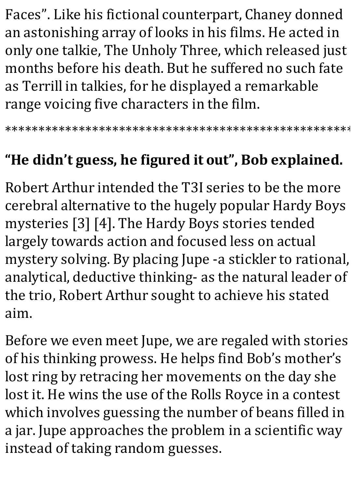Faces". Like his fictional counterpart, Chaney donned an astonishing array of looks in his films. He acted in only one talkie, The Unholy Three, which released just months before his death. But he suffered no such fate as Terrill in talkies, for he displayed a remarkable range voicing five characters in the film.

\*\*\*\*\*\*\*\*\*\*\*\*\*\*\*\*\*\*\*\*\*\*\*\*\*\*\*\*\*\*\*\*\*\*\*\*\*\*\*\*\*\*\*\*\*\*\*\*\*\*\*\*\*\*\*\*\*\*\*\*\*\*\*\*\*\*\*\*\*\*\*\*\*\*\*\*\*\*\*\*\*\*\*\*\*\*\*\*\*\*\*\*\*\*\*\*\*\*\*

## **"He didn't guess, he figured it out", Bob explained.**

Robert Arthur intended the T3I series to be the more cerebral alternative to the hugely popular Hardy Boys mysteries [3] [4]. The Hardy Boys stories tended largely towards action and focused less on actual mystery solving. By placing Jupe -a stickler to rational, analytical, deductive thinking- as the natural leader of the trio, Robert Arthur sought to achieve his stated aim.

Before we even meet Jupe, we are regaled with stories of his thinking prowess. He helps find Bob's mother's lost ring by retracing her movements on the day she lost it. He wins the use of the Rolls Royce in a contest which involves guessing the number of beans filled in a jar. Jupe approaches the problem in a scientific way instead of taking random guesses.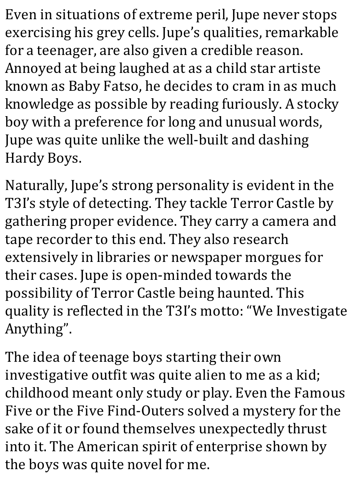Even in situations of extreme peril, Jupe never stops exercising his grey cells. Jupe's qualities, remarkable for a teenager, are also given a credible reason. Annoyed at being laughed at as a child star artiste known as Baby Fatso, he decides to cram in as much knowledge as possible by reading furiously. A stocky boy with a preference for long and unusual words, Jupe was quite unlike the well-built and dashing Hardy Boys.

Naturally, Jupe's strong personality is evident in the T3I's style of detecting. They tackle Terror Castle by gathering proper evidence. They carry a camera and tape recorder to this end. They also research extensively in libraries or newspaper morgues for their cases. Jupe is open-minded towards the possibility of Terror Castle being haunted. This quality is reflected in the T3I's motto:"We Investigate Anything".

The idea of teenage boys starting their own investigative outfit was quite alien to me as a kid; childhood meant only study or play. Even the Famous Five or the Five Find-Outers solved a mystery for the sake of it or found themselves unexpectedly thrust into it. The American spirit of enterprise shown by the boys was quite novel for me.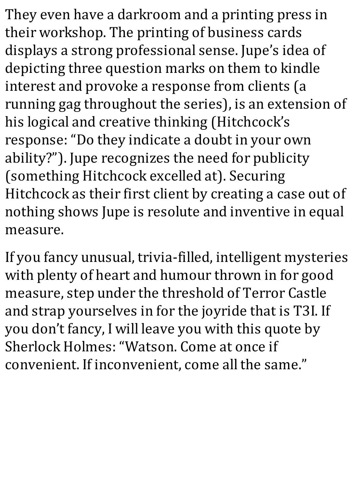They even have a darkroom and a printing press in their workshop. The printing of business cards displays a strong professional sense. Jupe's idea of depicting three question marks on them to kindle interest and provoke a response from clients (a running gag throughout the series), is an extension of his logical and creative thinking (Hitchcock's response:"Do they indicate a doubt in your own ability?"). Jupe recognizes the need for publicity (something Hitchcock excelled at). Securing Hitchcock as their first client by creating a case out of nothing shows Jupe is resolute and inventive in equal measure.

If you fancy unusual, trivia-filled, intelligent mysteries with plenty of heart and humour thrown in for good measure, step under the threshold of Terror Castle and strap yourselves in for the joyride that is T3I. If you don't fancy, I will leave you with this quote by Sherlock Holmes:"Watson. Come at once if convenient. If inconvenient, come all the same."